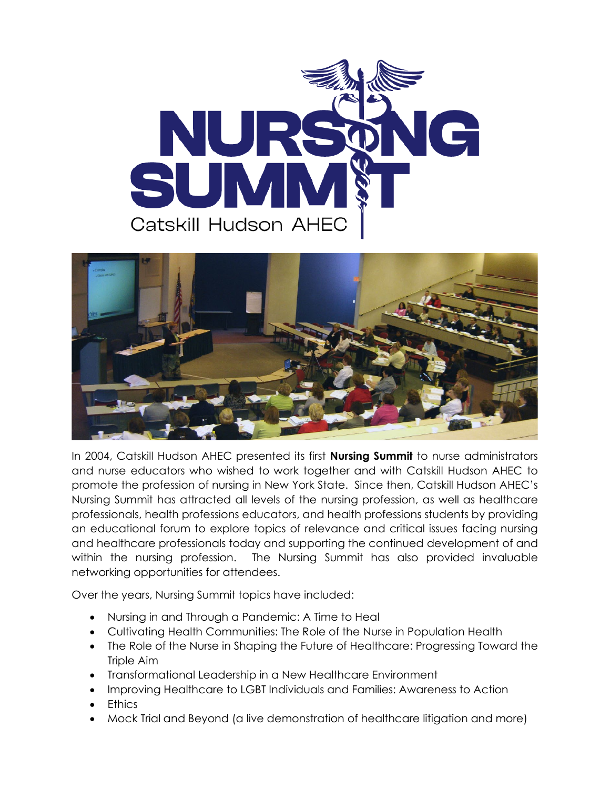



In 2004, Catskill Hudson AHEC presented its first **Nursing Summit** to nurse administrators and nurse educators who wished to work together and with Catskill Hudson AHEC to promote the profession of nursing in New York State. Since then, Catskill Hudson AHEC's Nursing Summit has attracted all levels of the nursing profession, as well as healthcare professionals, health professions educators, and health professions students by providing an educational forum to explore topics of relevance and critical issues facing nursing and healthcare professionals today and supporting the continued development of and within the nursing profession. The Nursing Summit has also provided invaluable networking opportunities for attendees.

Over the years, Nursing Summit topics have included:

- Nursing in and Through a Pandemic: A Time to Heal
- Cultivating Health Communities: The Role of the Nurse in Population Health
- The Role of the Nurse in Shaping the Future of Healthcare: Progressing Toward the Triple Aim
- Transformational Leadership in a New Healthcare Environment
- Improving Healthcare to LGBT Individuals and Families: Awareness to Action
- **Ethics**
- Mock Trial and Beyond (a live demonstration of healthcare litigation and more)